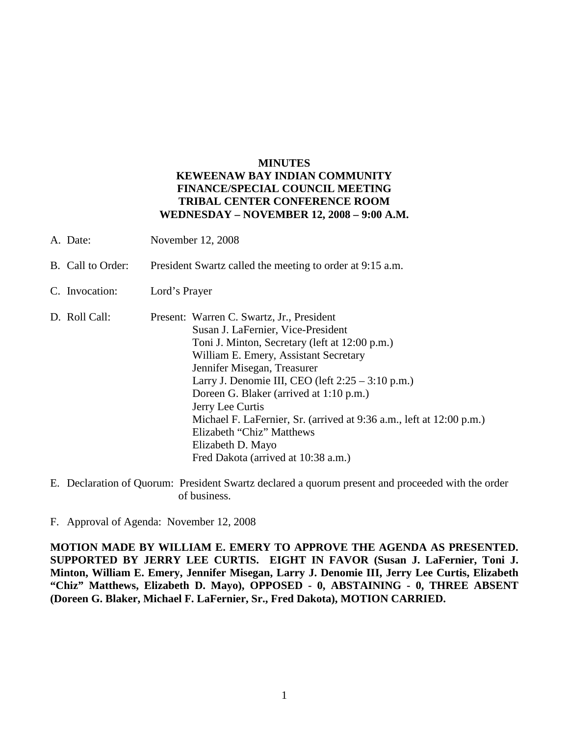## **MINUTES KEWEENAW BAY INDIAN COMMUNITY FINANCE/SPECIAL COUNCIL MEETING TRIBAL CENTER CONFERENCE ROOM WEDNESDAY – NOVEMBER 12, 2008 – 9:00 A.M.**

- A. Date: November 12, 2008
- B. Call to Order: President Swartz called the meeting to order at 9:15 a.m.
- C. Invocation: Lord's Prayer

D. Roll Call: Present: Warren C. Swartz, Jr., President Susan J. LaFernier, Vice-President Toni J. Minton, Secretary (left at 12:00 p.m.) William E. Emery, Assistant Secretary Jennifer Misegan, Treasurer Larry J. Denomie III, CEO (left 2:25 – 3:10 p.m.) Doreen G. Blaker (arrived at 1:10 p.m.) Jerry Lee Curtis Michael F. LaFernier, Sr. (arrived at 9:36 a.m., left at 12:00 p.m.) Elizabeth "Chiz" Matthews Elizabeth D. Mayo Fred Dakota (arrived at 10:38 a.m.)

E. Declaration of Quorum: President Swartz declared a quorum present and proceeded with the order of business.

F. Approval of Agenda: November 12, 2008

**MOTION MADE BY WILLIAM E. EMERY TO APPROVE THE AGENDA AS PRESENTED. SUPPORTED BY JERRY LEE CURTIS. EIGHT IN FAVOR (Susan J. LaFernier, Toni J. Minton, William E. Emery, Jennifer Misegan, Larry J. Denomie III, Jerry Lee Curtis, Elizabeth "Chiz" Matthews, Elizabeth D. Mayo), OPPOSED - 0, ABSTAINING - 0, THREE ABSENT (Doreen G. Blaker, Michael F. LaFernier, Sr., Fred Dakota), MOTION CARRIED.**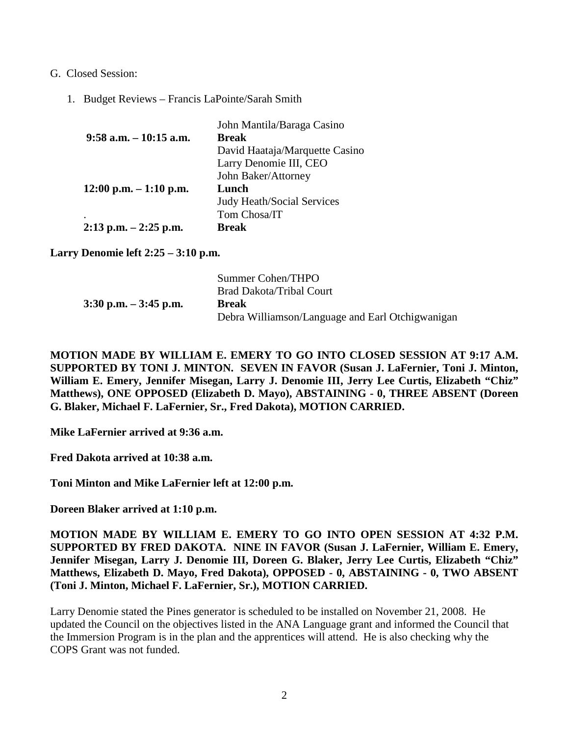- G. Closed Session:
	- 1. Budget Reviews Francis LaPointe/Sarah Smith

|                           | John Mantila/Baraga Casino        |
|---------------------------|-----------------------------------|
| $9:58$ a.m. $-10:15$ a.m. | <b>Break</b>                      |
|                           | David Haataja/Marquette Casino    |
|                           | Larry Denomie III, CEO            |
|                           | John Baker/Attorney               |
| $12:00$ p.m. $-1:10$ p.m. | Lunch                             |
|                           | <b>Judy Heath/Social Services</b> |
| ٠                         | Tom Chosa/IT                      |
| $2:13$ p.m. $-2:25$ p.m.  | <b>Break</b>                      |

**Larry Denomie left 2:25 – 3:10 p.m.**

|                          | Summer Cohen/THPO                                |
|--------------------------|--------------------------------------------------|
|                          | <b>Brad Dakota/Tribal Court</b>                  |
| $3:30$ p.m. $-3:45$ p.m. | <b>Break</b>                                     |
|                          | Debra Williamson/Language and Earl Otchigwanigan |

**MOTION MADE BY WILLIAM E. EMERY TO GO INTO CLOSED SESSION AT 9:17 A.M. SUPPORTED BY TONI J. MINTON. SEVEN IN FAVOR (Susan J. LaFernier, Toni J. Minton, William E. Emery, Jennifer Misegan, Larry J. Denomie III, Jerry Lee Curtis, Elizabeth "Chiz" Matthews), ONE OPPOSED (Elizabeth D. Mayo), ABSTAINING - 0, THREE ABSENT (Doreen G. Blaker, Michael F. LaFernier, Sr., Fred Dakota), MOTION CARRIED.**

**Mike LaFernier arrived at 9:36 a.m.**

**Fred Dakota arrived at 10:38 a.m.**

**Toni Minton and Mike LaFernier left at 12:00 p.m.**

**Doreen Blaker arrived at 1:10 p.m.**

**MOTION MADE BY WILLIAM E. EMERY TO GO INTO OPEN SESSION AT 4:32 P.M. SUPPORTED BY FRED DAKOTA. NINE IN FAVOR (Susan J. LaFernier, William E. Emery, Jennifer Misegan, Larry J. Denomie III, Doreen G. Blaker, Jerry Lee Curtis, Elizabeth "Chiz" Matthews, Elizabeth D. Mayo, Fred Dakota), OPPOSED - 0, ABSTAINING - 0, TWO ABSENT (Toni J. Minton, Michael F. LaFernier, Sr.), MOTION CARRIED.**

Larry Denomie stated the Pines generator is scheduled to be installed on November 21, 2008. He updated the Council on the objectives listed in the ANA Language grant and informed the Council that the Immersion Program is in the plan and the apprentices will attend. He is also checking why the COPS Grant was not funded.